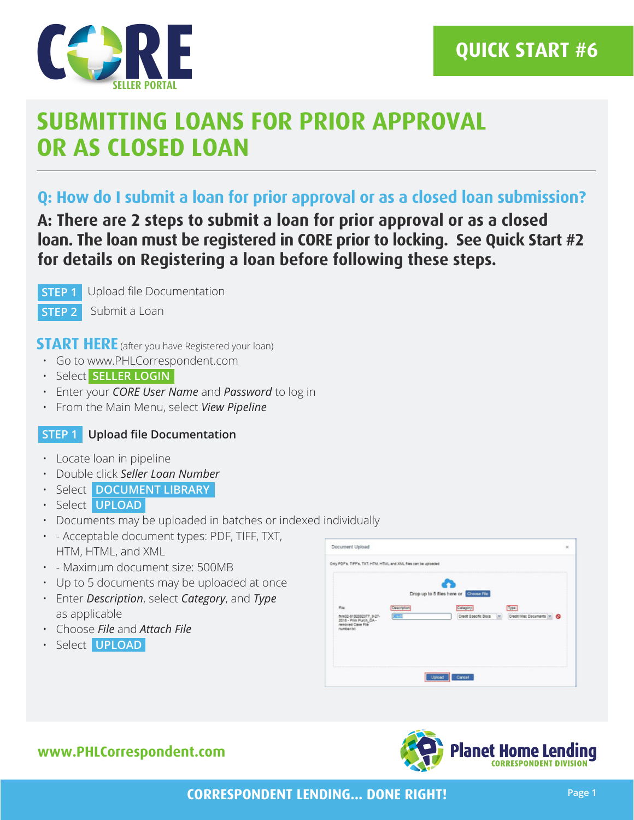

# **SUBMITTING LOANS FOR PRIOR APPROVAL OR AS CLOSED LOAN**

## **Q: How do I submit a loan for prior approval or as a closed loan submission?**

**A: There are 2 steps to submit a loan for prior approval or as a closed loan. The loan must be registered in CORE prior to locking. See Quick Start #2 for details on Registering a loan before following these steps.**

**STEP 1**

Upload file Documentation

**STEP 2** Submit a Loan

**START HERE** (after you have Registered your loan)

- Go to www.PHLCorrespondent.com
- Select **SELLER LOGIN**
- Enter your *CORE User Name* and *Password* to log in
- From the Main Menu, select *View Pipeline*

### **STEP 1 Upload file Documentation**

- Locate loan in pipeline
- Double click *Seller Loan Number*
- Select **DOCUMENT LIBRARY**
- Select **UPLOAD**
- Documents may be uploaded in batches or indexed individually
- - Acceptable document types: PDF, TIFF, TXT, HTM, HTML, and XML
- - Maximum document size: 500MB
- Up to 5 documents may be uploaded at once
- Enter *Description*, select *Category*, and *Type* as applicable
- Choose *File* and *Attach File*
- Select **UPLOAD**

| File<br>frm32-9102002377_9-27-<br>2018 - Prim Purch, CA -<br>removed Case File | Description<br>3000 | Drop up to 5 files here or Choose File<br>Catagory | Type<br>Credit Specific Docs M Credit Misc Documents M C |  |
|--------------------------------------------------------------------------------|---------------------|----------------------------------------------------|----------------------------------------------------------|--|
| number.bit                                                                     |                     |                                                    |                                                          |  |

## **www.PHLCorrespondent.com**